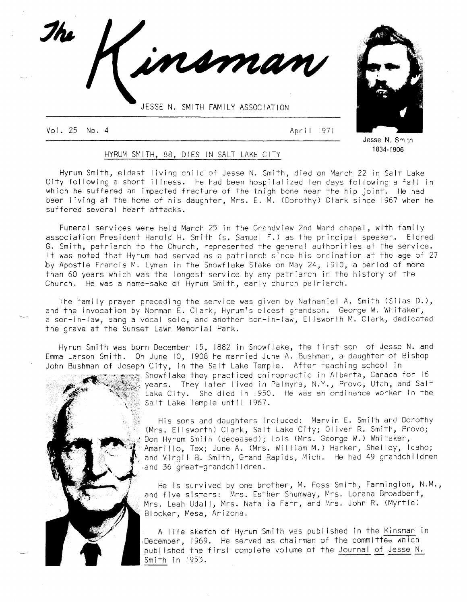JESSE N. SMITH FAMILY ASSOCIATION

Vol 25 No. <sup>4</sup> April l91l

7/u



Jesse N. Smith <sup>1</sup>834-1 906

# HYRUM SMITH, 88, DIES IN SALT LAKE CITY

Hyrum Smith, eldest living child of Jesse N. Smith, died on March 22 in Salt Lake City following a shorf illness. He had been hospitalized ten days following a fall in which he suffered an impacted fracture of the thigh bone near the hip joint. He had been living at the home of his daughter, Mrs. E. M. (Dorothy) Clark since 1967 when he suffered several heart aftacks.

nsman

Funeral services were held March 25 in the Grandview 2nd Ward chapel, with fami ly association Presidenf Harold H. Smith (s, Samuel F.) as fhe principal speaker. Eldred G. Smith, patriarch to the Church, represented the general authorities at the service. lt was noted that Hyrum had served as a patriarch since his ordination at the age of <sup>27</sup> by Apostle Francis M. Lyman in the Snowflake Stake on May 24, 1910, a period of more than 60 years which was the longest service by any patriarch in the history of the Church. He was a name-sake of Hyrum Smith, early church patriarch.

The family prayer preceding the service was given by Nathaniel A. Smifh (Silas D.), and the invocation by Norman E. Clark, Hyrum's eldest grandson. George W. Whitaker, a son-in-law, sang a vocal solo, and another son-in-law, Ellsworth M. Clark, dedicated the grave at the Sunset Lawn Memorial Park.

Hyrum Smith was born December 15, 1882 in Snowflake, the first son of Jesse N. and Emma Larson Smith. On June 10, l90B he married June A. Bushman, a daughter of Bishop John Bushman of Joseph City, in the Salt Lake Temple. After teaching school in<br>Decessions Showflake they practiced chiropractic in Alberta, Canada for 16



years. They later lived in Palmyra, N.Y., Provo, Utah, and Salt Lake City. She died in 1950. He was an ordinance worker in the Salt Lake Temple until 1967.

His sons and daughfers included: Marvin E. Smith and Dorothy (Mrs. El lsworth) Clark, Salt Lake City; Ol iver R. Smith, Provo; Don Hyrum Smith (deceased); Lois (Mrs. George W.) Whitaker, Amarillo, Tex; June A. (Mrs. William M. ) Harker, Shelley, ldaho; and Virgil B. Smith, Grand Rapids, Mich. He had 49 grandchildren and 36 great-grandchildren.

He is survived by one brother, M. Foss Smith, Farmington, N.M., and five sisters: Mrs. Esther Shumway, Mrs. Lorana Broadbent, Mrs. Leah Udall, Mrs. Natalia Farr, and Mrs. John R. (Myrtle) Blocker, Mesa, Arizona.

A I ife sketch of Hyrum smith was publ ished in the Kinsman in December, 1969. He served as chairman of the committe<del>d</del> wnich publ ished the first complete volume of the Journal of Jesse N. Smith in 1953.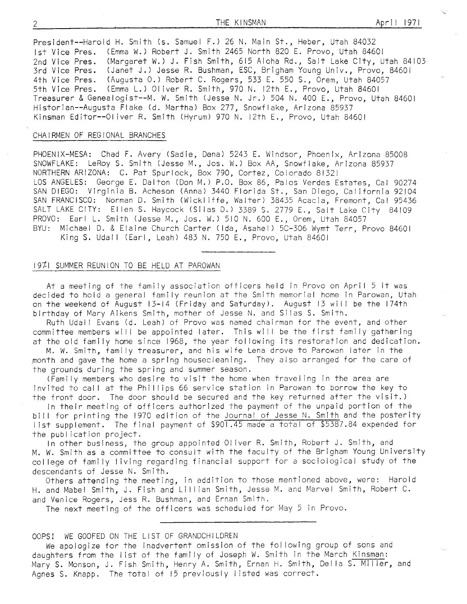President--Harold H. Smith (s. Samuel F.) 26 N. Main St., Heber, Utah <sup>84032</sup> lst Vice Pres. (Emma W.) Robert J. Smith 2465 North 820 E. Provo, Utah <sup>84601</sup> 2nd Vice Pres. (Margaret W.) J. Fish Smith, 615 Aloha Rd., Salt Lake City, Utah 84103 3rd Vice Pres. (Janet J.) Jesse R. Bushman, ESC, Brigham Young Univ., Provo, <sup>84601</sup> 4th Vice Pres. (Augusta 0.) Robert C. Rogers, 533 E. 550 S., Orem, Utah 84057 5th Vice Pres. (Emma L.) Oliver R. Smith, 970 N. 12th E., Provo, Utah 84601 Treasurer & Genealogist--M. W. Smith (Jesse N. Jr.) 504 N. 400 E., Provo, Utah 84601 Historian--Augusta Flake (d. Martha) Box 277, Snowflake, Arizona <sup>85937</sup> Kinsman Editor--Oliver R. Smith (Hyrum) 970 N. lzfh E., Provo, Utah <sup>84601</sup>

# CHAIRMEN OF REGIONAL BRANCHES

PHOENIX-MESA: Chad F. Avery (Sadie, Dena) 5243 E. Windsor, Phoenix, Arizona 85008 SNOWFLAKE: LeRoy S. Smith (Jesse M., Jos. W.) Box AA, Snowflake, Arizona <sup>85931</sup> NORTHERN ARIZONA: C. Paf Spurlock, Box 790, Cortez, Colorado Bl32l LOS ANGELES: George E. Dalton (Don M.) P.0. Box 86, Palos Verdes Estates, Cal <sup>90214</sup> SAN DIEGO: Virginia B. Acheson (Anna) 3440 Florida St., San Diego, California <sup>92104</sup> SAN FRANCISCO: Norman D. Smifh (Wickl iffe, Walfer) 38435 Acacia, Fremont, Cal <sup>95436</sup> SALT LAKE CITY: Ellen S. Haycock (Silas D.) 3389 S. 2779 E., Salt Lake City 84109 PROVO: Earl L. Smith (Jesse M., Jos. W.) 510 N. 600 E., Orem, Utah 84057 BYU: Michael D. & Elaine Church Carter (lda, Asahel) 5C-306 Wymt Terr, Provo <sup>84601</sup> King S. Udall (Earl, Leah) 483 N. 750 E., Provo, Utah 84601

# 197,1 SUMN4ER REUNION TO BE HELD AT PAROWAN

At a meeting of the family association officers held in Provo on April 5 it was decided to hold a general fami ly reunion at the Smith memorial home in Parowan, Utah on the weekend of August 13-14 (Friday and Saturday). August 13 will be the 174th birthday of Mary Aikens Smith, mother of Jesse N. and Silas S. Smith.

Ruth Udall Evans (d. Leah) of Provo was named chairman for the event, and other committee members will be appointed later. This will be the first family gathering at the old family home since 1968, the year following its restoration and dedication.

M. W. Smith, fami ly treasurer, and his wife Lena drove to Parowan later in the month and gave the home a sprlng housecleaning. They also arranged for the care of the grounds during the spring and summer season.

(Fami ly members who desire to visit the home when travel ing in the area are invited to call at the Phillips 66 service station in Parowan to borrow the key to the fronf door. The door should be secured and the kev returned after the visif.)

ln their meeting of officers authorized fhe payment of the unpaid portion of the bill for printing the 1970 edition of the Journal of Jesse N. Smlth and the posterity<br>list supplement. The final payment of \$901.45 made a total of \$5387.84 expended for the publ ication project.

In other business, the group appointed Ol iver R. Smith, Robert J. Smith, and M. W. Smith as a committee to consult with the faculty of the Brigham Young University college of family living regarding financial support for a sociological study of the descendants of Jesse N. Smith.

Others attending the meeting, in addition to those menfioned above, were: Harold H. and Mabel Smith, J. Fish and Lillian Smith, Jesse M. and Marvel Smith, Robert C. and Venice Rogers, Jess R. Bushman, and Ernan Smith.

The next meefing of the officers was scheduled for May 5 in Provo.

#### OOPS! WE GOOFED ON THE LIST OF GRANDCHILDREN

We apologize for fhe inadvertent omission of the fol lowing group of sons and daughters from the list of the family of Joseph W. Smith in the March Kinsman: Mary S. Monson, J. Fish Smith, Henry A. Smith, Ernan H. Smith, Della S. Miller, and Agnes S. Knapp. The total of l5 previously I isted was correct.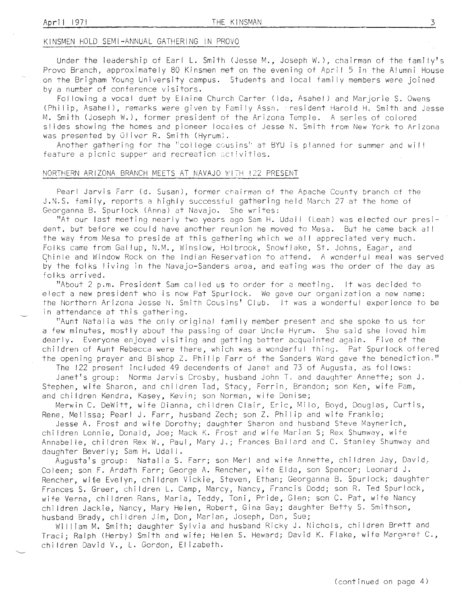### KINSMEN HOLD SEMI-ANNUAL GATHERING IN PROVO

Under the leadership of Earl L. Smith (Jesse M., Joseph W.), chairman of the family's Provo Branch, approximately 80 Kinsmen met on the evening of April 5 in the Alumni House on the Brigham Young University campus. Students and local family members were joined by a number of conference visitors.<br>Following a vocal duet by Elaine Church Carter (Ida, Asahel) and Marjorie S. Owens

(Philip, Asahel), remarks were given by Family Assn. rresident Harold H. Smith and Jesse M. Smith (Joseph W.), former president of the Arizona Temple. A series of colored slides showing the homes and pioneer locales of Jesse N. Smith from New York to Arizona was presented by Oliver R. Smith (Hyrum).

Another gathering for the "college cousins" at BYU is planned for summer and will feature a picnic supper and recreation activities.

#### NORTHERN ARIZONA BRANCH MEETS AT NAVAJO WITH 122 PRESENT

Pearl Jarvis Farr (d. Susan), former chairman of the Apache County branch of the J.N.S. family, reports a highly successful gathering held March 27 at the home of Georganna B. Spurlock (Anna) at Navajo. She writes:

'rAt our last meeting nearly two years ago Sam H. Udall (Leah) was elected our president, but before we could have another reunion he moved to Mesa. But he came back all the way from Mesa to preside at this gathering which we all appreciated very much. Folks came from Gal lup, N.M., Winslow, Holbrook, Snowflake, St. Johns, Eagar, and Chinle and Window Rock on the lndian Reservation to attend. A wcnderful meal was served by the folks living in the Navajo-Sanders area, and eating was the order of the day as folks arrived.

"About 2 p.m. President Sam cal led us to order for a meefing. it was decided to elect a new president who is now Pat Spurlock. We gave our organization a new name: the Northern Arizona Jesse N. Smith Cousins' Club. It was a wonderful experience to be in attendance at this gathering.

"Aunt Natal ia was the only original fami ly member present and she spoke to us for a few minutes, mostly about the passing of dear Uncle Hyrum. She said she loved him dearly. Everyone enjoyed visiting and getting better acquainted again. Five of the chi ldren of Aunt Rebecca were there, which was a wonderful thing. Pat Spurlock offered the opening prayer and Bishop Z. Philip Farr of the Sanders Ward gave the benediction."

The 122 present included 49 decendents of Janet and 73 of Augusta, as follows:

Janet's group: Norma Jarvis Crosby, husband John T. and daughter Annette; son J. Steohen, wife Sharon, and chi ldren Tad, Stacy, Ferrin, Brandon; son Ken, wife Pam, and chi ldren Kendra, Kasey, Kevin; son Norman, wife Denise;

Merwin C. DeWitt, wife Dianna, children Clair, Eric, Milo, Boyd, Douglas, Curtis, Rene, Melissa; Pearl J. Farr, husband Zech; son Z. Philip and wife Frankie;

Jesse A. Frost and wife Dorothy; daughter Sharon and husband Steve Maynerich, children Lonnie, Donald, Joe; Mack K. Frost and wife Marian S; Rex Shumway, wife Annabel le, chi ldren Rex W., Paul, Mary J.; Frances Bal lard and C. Sfanley Shumway and daughter Beverly; Sam H. Udal l.

Augusta's group: Natalia S. Farr; son Merl and wife Annette, children Jay, David, Coleen; son F. Ardath Farr; George A. Rencher, wife Elda, son Spencer; Leonard J. Rencher, wife Evelyn, chi ldren Vickie, Steven, Ethan; Georganna B. Spurlock; daughter Frances S. Greer, chi ldren L. Camp, Marcy, Nancy, Francis Dodd; son R. Ted Spurlock, wife Verna, chi ldren Rans, Maria, Teddy, Toni, Pride, Glen; son C. Pat, wife Nancy chi ldren Jackie, Nancy, Mary Helen, Robert, Gina Gay; daughter Betty S. Smithson, husband Brady, children Jim, Don, Marian, Joseph, Dan, Sue;

William M. Smith; daughter Sylvia and husband Ricky J. Nichols, children Brett and Traci; Ralph (Herby) Smith and wife; Helen S. Heward; David K. Flake, wife Margaret C., children David V., L. Gordon, Elizabeth.